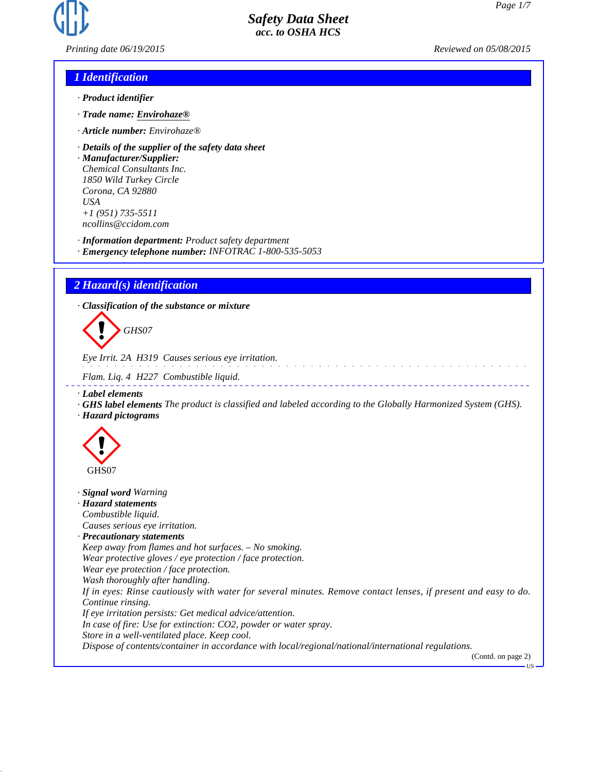

*Printing date 06/19/2015 Reviewed on 05/08/2015*

# *1 Identification*

- *· Product identifier*
- *· Trade name: Envirohaze®*
- *· Article number: Envirohaze®*
- *· Details of the supplier of the safety data sheet*

*· Manufacturer/Supplier: Chemical Consultants Inc. 1850 Wild Turkey Circle Corona, CA 92880 USA +1 (951) 735-5511 ncollins@ccidom.com*

*· Information department: Product safety department*

*· Emergency telephone number: INFOTRAC 1-800-535-5053*

# *2 Hazard(s) identification*

*· Classification of the substance or mixture*

d~*GHS07*

*Eye Irrit. 2A H319 Causes serious eye irritation.*

*Flam. Liq. 4 H227 Combustible liquid.*

- *· Label elements*
- *· GHS label elements The product is classified and labeled according to the Globally Harmonized System (GHS). · Hazard pictograms*



*· Signal word Warning*

*· Hazard statements Combustible liquid.*

*Causes serious eye irritation.*

*· Precautionary statements*

*Keep away from flames and hot surfaces. – No smoking.*

*Wear protective gloves / eye protection / face protection.*

*Wear eye protection / face protection.*

*Wash thoroughly after handling.*

*If in eyes: Rinse cautiously with water for several minutes. Remove contact lenses, if present and easy to do. Continue rinsing.*

*If eye irritation persists: Get medical advice/attention.*

*In case of fire: Use for extinction: CO2, powder or water spray.*

*Store in a well-ventilated place. Keep cool.*

*Dispose of contents/container in accordance with local/regional/national/international regulations.*

(Contd. on page 2)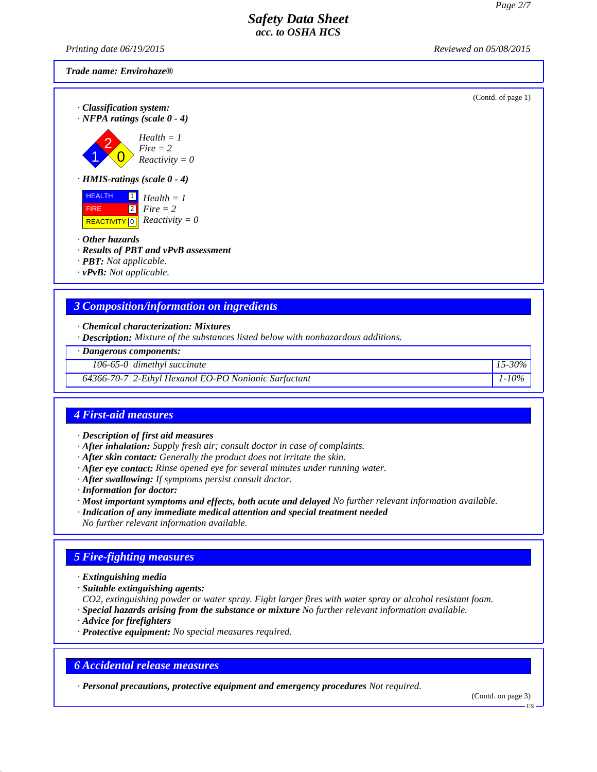*Printing date 06/19/2015 Reviewed on 05/08/2015*

#### *Trade name: Envirohaze®*

(Contd. of page 1)

*· Classification system: · NFPA ratings (scale 0 - 4)*

$$
Health = 1
$$
\n
$$
Five = 2
$$
\n
$$
Reactivity
$$

 $\overline{\mathbf{0}}$ *Fire = 2 Reactivity* =  $0$ 

*· HMIS-ratings (scale 0 - 4)*



- *· Other hazards*
- *· Results of PBT and vPvB assessment*
- *· PBT: Not applicable.*
- *· vPvB: Not applicable.*

# *3 Composition/information on ingredients*

*· Chemical characterization: Mixtures*

*· Description: Mixture of the substances listed below with nonhazardous additions.*

*· Dangerous components:*

*106-65-0 dimethyl succinate 15-30%*

### *64366-70-7 2-Ethyl Hexanol EO-PO Nonionic Surfactant 1-10%*

# *4 First-aid measures*

*· Description of first aid measures*

- *· After inhalation: Supply fresh air; consult doctor in case of complaints.*
- *· After skin contact: Generally the product does not irritate the skin.*
- *· After eye contact: Rinse opened eye for several minutes under running water.*
- *· After swallowing: If symptoms persist consult doctor.*
- *· Information for doctor:*
- *· Most important symptoms and effects, both acute and delayed No further relevant information available.*
- *· Indication of any immediate medical attention and special treatment needed*
- *No further relevant information available.*

# *5 Fire-fighting measures*

- *· Extinguishing media*
- *· Suitable extinguishing agents:*

*CO2, extinguishing powder or water spray. Fight larger fires with water spray or alcohol resistant foam. · Special hazards arising from the substance or mixture No further relevant information available.*

- *· Advice for firefighters*
- *· Protective equipment: No special measures required.*

### *6 Accidental release measures*

*· Personal precautions, protective equipment and emergency procedures Not required.*

(Contd. on page 3)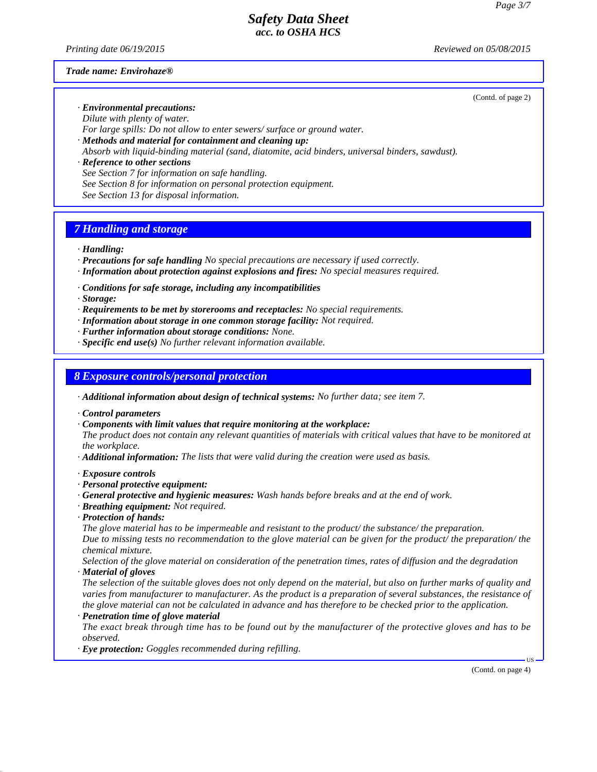*Printing date 06/19/2015 Reviewed on 05/08/2015*

#### *Trade name: Envirohaze®*

(Contd. of page 2)

*· Environmental precautions: Dilute with plenty of water.*

*For large spills: Do not allow to enter sewers/ surface or ground water.*

*· Methods and material for containment and cleaning up:*

*Absorb with liquid-binding material (sand, diatomite, acid binders, universal binders, sawdust).*

*· Reference to other sections See Section 7 for information on safe handling. See Section 8 for information on personal protection equipment. See Section 13 for disposal information.*

# *7 Handling and storage*

*· Handling:*

- *· Precautions for safe handling No special precautions are necessary if used correctly.*
- *· Information about protection against explosions and fires: No special measures required.*

*· Conditions for safe storage, including any incompatibilities*

*· Storage:*

- *· Requirements to be met by storerooms and receptacles: No special requirements.*
- *· Information about storage in one common storage facility: Not required.*
- *· Further information about storage conditions: None.*
- *· Specific end use(s) No further relevant information available.*

### *8 Exposure controls/personal protection*

*· Additional information about design of technical systems: No further data; see item 7.*

*· Control parameters*

*· Components with limit values that require monitoring at the workplace:*

*The product does not contain any relevant quantities of materials with critical values that have to be monitored at the workplace.*

*· Additional information: The lists that were valid during the creation were used as basis.*

#### *· Exposure controls*

- *· Personal protective equipment:*
- *· General protective and hygienic measures: Wash hands before breaks and at the end of work.*
- *· Breathing equipment: Not required.*
- *· Protection of hands:*

*The glove material has to be impermeable and resistant to the product/ the substance/ the preparation. Due to missing tests no recommendation to the glove material can be given for the product/ the preparation/ the chemical mixture.*

*Selection of the glove material on consideration of the penetration times, rates of diffusion and the degradation · Material of gloves*

*The selection of the suitable gloves does not only depend on the material, but also on further marks of quality and varies from manufacturer to manufacturer. As the product is a preparation of several substances, the resistance of the glove material can not be calculated in advance and has therefore to be checked prior to the application.*

*· Penetration time of glove material*

*The exact break through time has to be found out by the manufacturer of the protective gloves and has to be observed.*

*· Eye protection: Goggles recommended during refilling.*

(Contd. on page 4)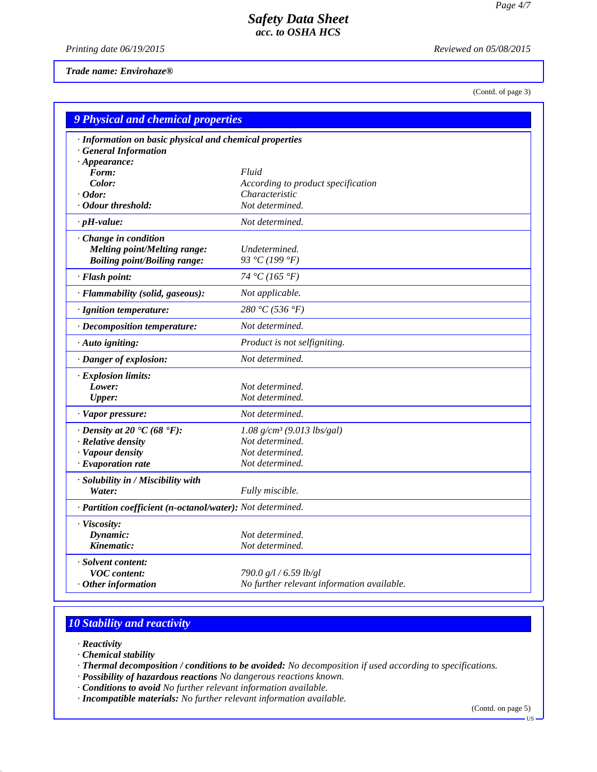*Printing date 06/19/2015 Reviewed on 05/08/2015*

*Trade name: Envirohaze®*

(Contd. of page 3)

| 9 Physical and chemical properties                         |                                            |  |
|------------------------------------------------------------|--------------------------------------------|--|
| · Information on basic physical and chemical properties    |                                            |  |
| <b>General Information</b>                                 |                                            |  |
| $\cdot$ Appearance:                                        |                                            |  |
| Form:                                                      | Fluid                                      |  |
| Color:                                                     | According to product specification         |  |
| $\cdot$ Odor:                                              | Characteristic                             |  |
| • Odour threshold:                                         | Not determined.                            |  |
| $\cdot$ pH-value:                                          | Not determined.                            |  |
| · Change in condition                                      |                                            |  |
| <b>Melting point/Melting range:</b>                        | Undetermined.                              |  |
| <b>Boiling point/Boiling range:</b>                        | 93 °C (199 °F)                             |  |
| · Flash point:                                             | 74 °C (165 °F)                             |  |
| · Flammability (solid, gaseous):                           | Not applicable.                            |  |
| · Ignition temperature:                                    | 280 °C (536 °F)                            |  |
| · Decomposition temperature:                               | Not determined.                            |  |
| · Auto igniting:                                           | Product is not selfigniting.               |  |
| · Danger of explosion:                                     | Not determined.                            |  |
| · Explosion limits:                                        |                                            |  |
| Lower:                                                     | Not determined.                            |  |
| <b>Upper:</b>                                              | Not determined.                            |  |
| · Vapor pressure:                                          | Not determined.                            |  |
| $\cdot$ Density at 20 $\cdot$ C (68 $\cdot$ F):            | $1.08$ g/cm <sup>3</sup> (9.013 lbs/gal)   |  |
| $\cdot$ Relative density                                   | Not determined.                            |  |
| · Vapour density                                           | Not determined.                            |  |
| $\cdot$ Evaporation rate                                   | Not determined.                            |  |
| · Solubility in / Miscibility with                         |                                            |  |
| Water:                                                     | Fully miscible.                            |  |
| · Partition coefficient (n-octanol/water): Not determined. |                                            |  |
| · Viscosity:                                               |                                            |  |
| Dynamic:                                                   | Not determined.                            |  |
| Kinematic:                                                 | Not determined.                            |  |
| · Solvent content:                                         |                                            |  |
| <b>VOC</b> content:                                        | 790.0 g/l / 6.59 lb/gl                     |  |
| $\cdot$ Other information                                  | No further relevant information available. |  |

# *10 Stability and reactivity*

- *· Reactivity*
- *· Chemical stability*
- *· Thermal decomposition / conditions to be avoided: No decomposition if used according to specifications.*
- *· Possibility of hazardous reactions No dangerous reactions known.*
- *· Conditions to avoid No further relevant information available.*
- *· Incompatible materials: No further relevant information available.*

(Contd. on page 5)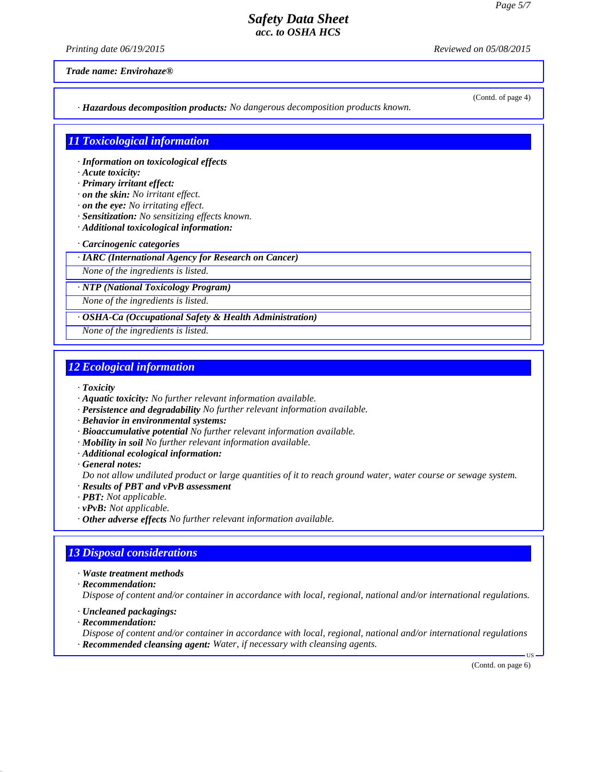*Printing date 06/19/2015 Reviewed on 05/08/2015*

(Contd. of page 4)

*Trade name: Envirohaze®*

*· Hazardous decomposition products: No dangerous decomposition products known.*

### *11 Toxicological information*

- *· Information on toxicological effects*
- *· Acute toxicity:*
- *· Primary irritant effect:*
- *· on the skin: No irritant effect.*
- *· on the eye: No irritating effect.*
- *· Sensitization: No sensitizing effects known.*
- *· Additional toxicological information:*
- *· Carcinogenic categories*
- *· IARC (International Agency for Research on Cancer)*

*None of the ingredients is listed.*

*· NTP (National Toxicology Program)*

*None of the ingredients is listed.*

### *· OSHA-Ca (Occupational Safety & Health Administration)*

*None of the ingredients is listed.*

# *12 Ecological information*

- *· Toxicity*
- *· Aquatic toxicity: No further relevant information available.*
- *· Persistence and degradability No further relevant information available.*
- *· Behavior in environmental systems:*
- *· Bioaccumulative potential No further relevant information available.*
- *· Mobility in soil No further relevant information available.*
- *· Additional ecological information:*
- *· General notes:*
- *Do not allow undiluted product or large quantities of it to reach ground water, water course or sewage system.*
- *· Results of PBT and vPvB assessment*
- *· PBT: Not applicable.*
- *· vPvB: Not applicable.*
- *· Other adverse effects No further relevant information available.*

# *13 Disposal considerations*

- *· Waste treatment methods*
- *· Recommendation:*

*Dispose of content and/or container in accordance with local, regional, national and/or international regulations.*

- *· Uncleaned packagings:*
- *· Recommendation:*

*Dispose of content and/or container in accordance with local, regional, national and/or international regulations · Recommended cleansing agent: Water, if necessary with cleansing agents.*

(Contd. on page 6)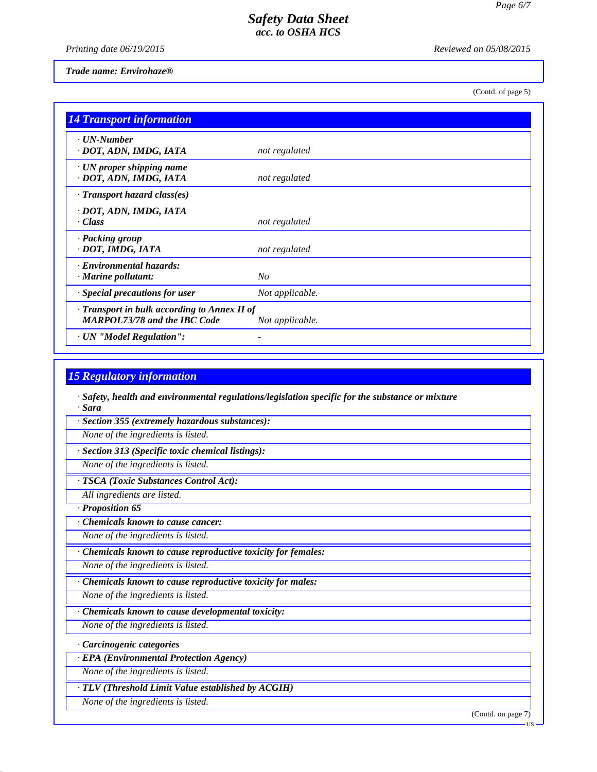*Printing date 06/19/2015 Reviewed on 05/08/2015*

*Trade name: Envirohaze®*

(Contd. of page 5)

| <b>14 Transport information</b>                                                           |                 |
|-------------------------------------------------------------------------------------------|-----------------|
| $\cdot$ UN-Number<br>· DOT, ADN, IMDG, IATA                                               | not regulated   |
| $\cdot$ UN proper shipping name<br>· DOT, ADN, IMDG, IATA                                 | not regulated   |
| $\cdot$ Transport hazard class(es)                                                        |                 |
| · DOT, ADN, IMDG, IATA<br>$\cdot$ Class                                                   | not regulated   |
| · Packing group<br>· DOT, IMDG, IATA                                                      | not regulated   |
| <b>Environmental hazards:</b><br>$\cdot$ Marine pollutant:                                | N <sub>O</sub>  |
| · Special precautions for user                                                            | Not applicable. |
| $\cdot$ Transport in bulk according to Annex II of<br><b>MARPOL73/78 and the IBC Code</b> | Not applicable. |
| · UN "Model Regulation":                                                                  |                 |

# *15 Regulatory information*

*· Safety, health and environmental regulations/legislation specific for the substance or mixture · Sara*

*· Section 355 (extremely hazardous substances):*

*None of the ingredients is listed.*

*· Section 313 (Specific toxic chemical listings):*

*None of the ingredients is listed.*

*· TSCA (Toxic Substances Control Act):*

*All ingredients are listed.*

*· Proposition 65*

*· Chemicals known to cause cancer:*

*None of the ingredients is listed.*

*· Chemicals known to cause reproductive toxicity for females:*

*None of the ingredients is listed.*

*· Chemicals known to cause reproductive toxicity for males:*

*None of the ingredients is listed.*

*· Chemicals known to cause developmental toxicity:*

*None of the ingredients is listed.*

*· Carcinogenic categories*

*· EPA (Environmental Protection Agency)*

*None of the ingredients is listed.*

*· TLV (Threshold Limit Value established by ACGIH)*

*None of the ingredients is listed.*

(Contd. on page 7)

US